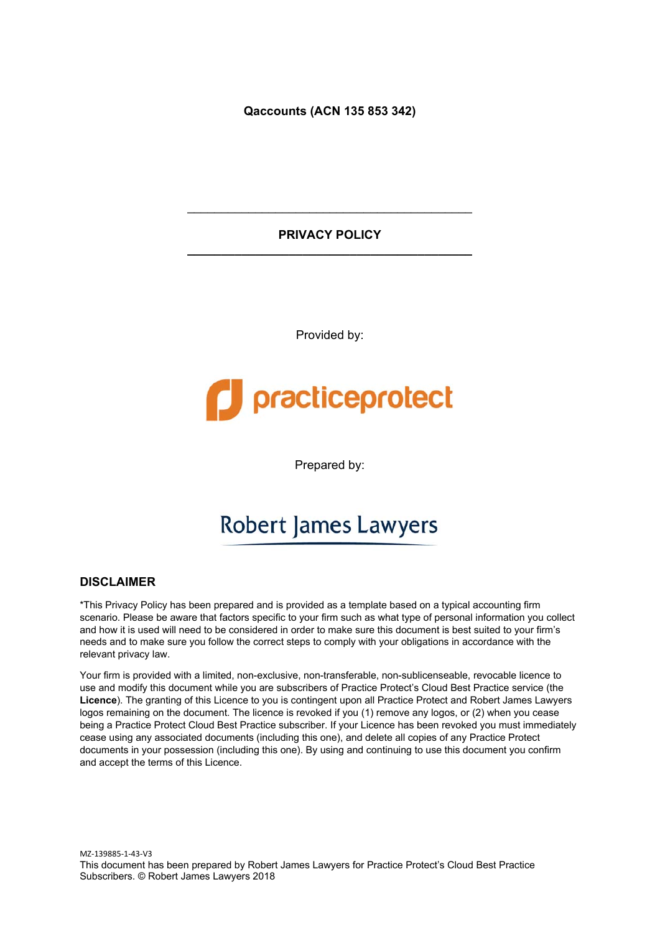**Qaccounts (ACN 135 853 342)** 

#### **PRIVACY POLICY \_\_\_\_\_\_\_\_\_\_\_\_\_\_\_\_\_\_\_\_\_\_\_\_\_\_\_\_\_\_\_\_\_\_\_\_\_\_\_\_\_\_**

\_\_\_\_\_\_\_\_\_\_\_\_\_\_\_\_\_\_\_\_\_\_\_\_\_\_\_\_\_\_\_\_\_\_\_\_\_\_\_\_\_\_

Provided by:

# practiceprotect

Prepared by:

## **Robert James Lawyers**

#### **DISCLAIMER**

\*This Privacy Policy has been prepared and is provided as a template based on a typical accounting firm scenario. Please be aware that factors specific to your firm such as what type of personal information you collect and how it is used will need to be considered in order to make sure this document is best suited to your firm's needs and to make sure you follow the correct steps to comply with your obligations in accordance with the relevant privacy law.

Your firm is provided with a limited, non-exclusive, non-transferable, non-sublicenseable, revocable licence to use and modify this document while you are subscribers of Practice Protect's Cloud Best Practice service (the **Licence**). The granting of this Licence to you is contingent upon all Practice Protect and Robert James Lawyers logos remaining on the document. The licence is revoked if you (1) remove any logos, or (2) when you cease being a Practice Protect Cloud Best Practice subscriber. If your Licence has been revoked you must immediately cease using any associated documents (including this one), and delete all copies of any Practice Protect documents in your possession (including this one). By using and continuing to use this document you confirm and accept the terms of this Licence.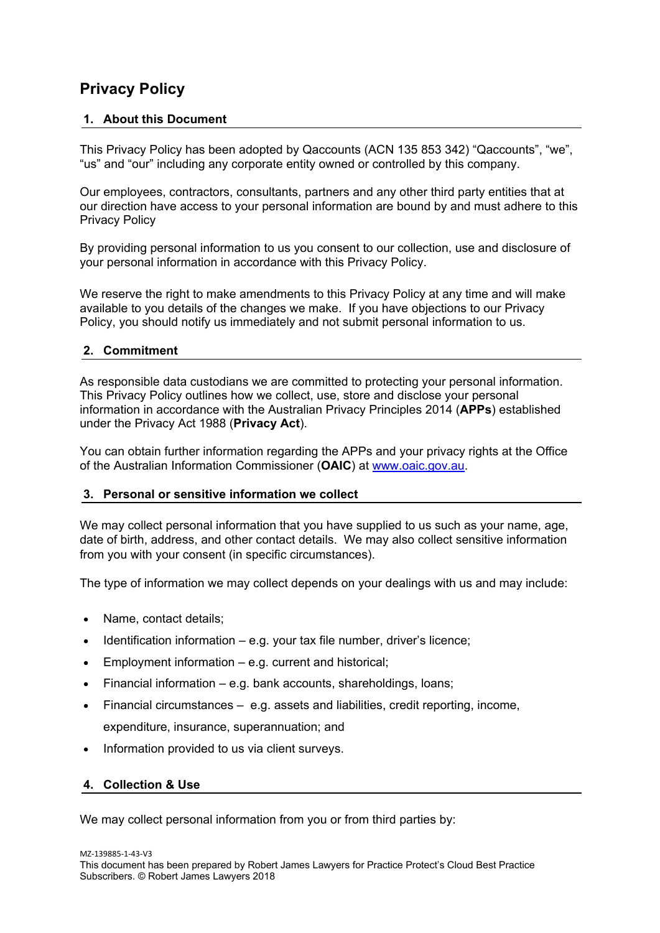### **Privacy Policy**

#### **1. About this Document**

This Privacy Policy has been adopted by Qaccounts (ACN 135 853 342) "Qaccounts", "we", "us" and "our" including any corporate entity owned or controlled by this company.

Our employees, contractors, consultants, partners and any other third party entities that at our direction have access to your personal information are bound by and must adhere to this Privacy Policy

By providing personal information to us you consent to our collection, use and disclosure of your personal information in accordance with this Privacy Policy.

We reserve the right to make amendments to this Privacy Policy at any time and will make available to you details of the changes we make. If you have objections to our Privacy Policy, you should notify us immediately and not submit personal information to us.

#### **2. Commitment**

As responsible data custodians we are committed to protecting your personal information. This Privacy Policy outlines how we collect, use, store and disclose your personal information in accordance with the Australian Privacy Principles 2014 (**APPs**) established under the Privacy Act 1988 (**Privacy Act**).

You can obtain further information regarding the APPs and your privacy rights at the Office of the Australian Information Commissioner (**OAIC**) at www.oaic.gov.au.

#### **3. Personal or sensitive information we collect**

We may collect personal information that you have supplied to us such as your name, age, date of birth, address, and other contact details. We may also collect sensitive information from you with your consent (in specific circumstances).

The type of information we may collect depends on your dealings with us and may include:

- Name, contact details;
- $\bullet$  Identification information e.g. your tax file number, driver's licence;
- Employment information e.g. current and historical;
- Financial information e.g. bank accounts, shareholdings, loans;
- Financial circumstances e.g. assets and liabilities, credit reporting, income, expenditure, insurance, superannuation; and
- Information provided to us via client surveys.

#### **4. Collection & Use**

We may collect personal information from you or from third parties by: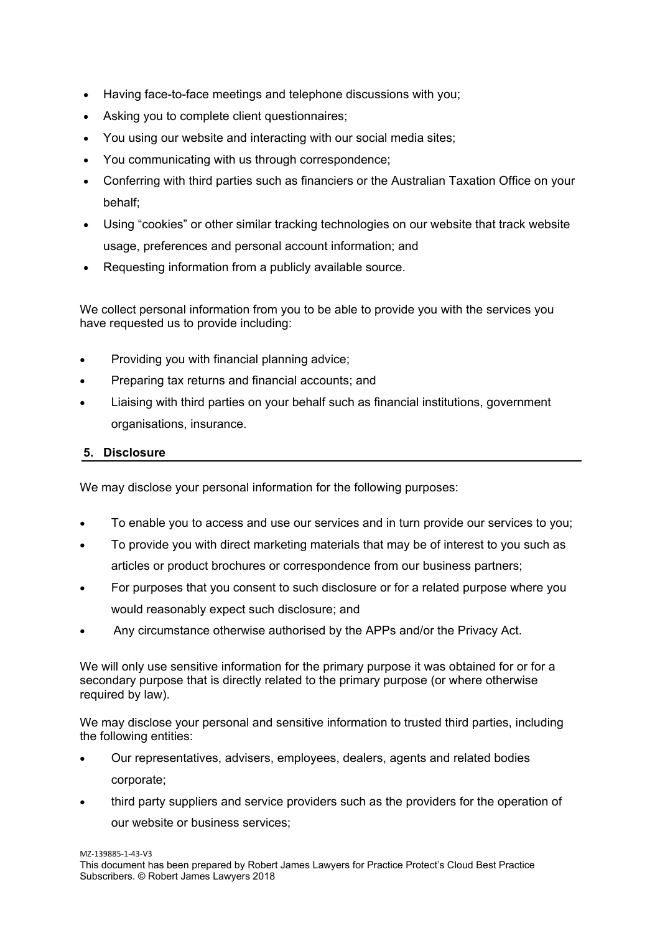- Having face-to-face meetings and telephone discussions with you;
- Asking you to complete client questionnaires;
- You using our website and interacting with our social media sites;
- You communicating with us through correspondence;
- Conferring with third parties such as financiers or the Australian Taxation Office on your behalf;
- Using "cookies" or other similar tracking technologies on our website that track website usage, preferences and personal account information; and
- Requesting information from a publicly available source.

We collect personal information from you to be able to provide you with the services you have requested us to provide including:

- Providing you with financial planning advice;
- Preparing tax returns and financial accounts; and
- Liaising with third parties on your behalf such as financial institutions, government organisations, insurance.

#### **5. Disclosure**

We may disclose your personal information for the following purposes:

- To enable you to access and use our services and in turn provide our services to you;
- To provide you with direct marketing materials that may be of interest to you such as articles or product brochures or correspondence from our business partners;
- For purposes that you consent to such disclosure or for a related purpose where you would reasonably expect such disclosure; and
- Any circumstance otherwise authorised by the APPs and/or the Privacy Act.

We will only use sensitive information for the primary purpose it was obtained for or for a secondary purpose that is directly related to the primary purpose (or where otherwise required by law).

We may disclose your personal and sensitive information to trusted third parties, including the following entities:

- Our representatives, advisers, employees, dealers, agents and related bodies corporate;
- third party suppliers and service providers such as the providers for the operation of our website or business services;

MZ‐139885‐1‐43‐V3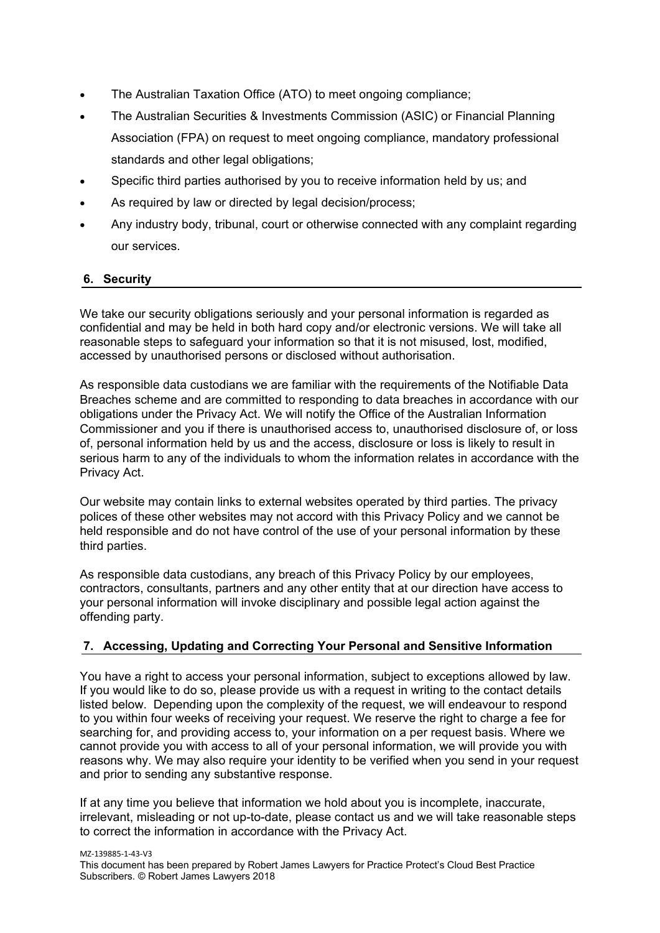- The Australian Taxation Office (ATO) to meet ongoing compliance;
- The Australian Securities & Investments Commission (ASIC) or Financial Planning Association (FPA) on request to meet ongoing compliance, mandatory professional standards and other legal obligations;
- Specific third parties authorised by you to receive information held by us; and
- As required by law or directed by legal decision/process;
- Any industry body, tribunal, court or otherwise connected with any complaint regarding our services.

#### **6. Security**

We take our security obligations seriously and your personal information is regarded as confidential and may be held in both hard copy and/or electronic versions. We will take all reasonable steps to safeguard your information so that it is not misused, lost, modified, accessed by unauthorised persons or disclosed without authorisation.

As responsible data custodians we are familiar with the requirements of the Notifiable Data Breaches scheme and are committed to responding to data breaches in accordance with our obligations under the Privacy Act. We will notify the Office of the Australian Information Commissioner and you if there is unauthorised access to, unauthorised disclosure of, or loss of, personal information held by us and the access, disclosure or loss is likely to result in serious harm to any of the individuals to whom the information relates in accordance with the Privacy Act.

Our website may contain links to external websites operated by third parties. The privacy polices of these other websites may not accord with this Privacy Policy and we cannot be held responsible and do not have control of the use of your personal information by these third parties.

As responsible data custodians, any breach of this Privacy Policy by our employees, contractors, consultants, partners and any other entity that at our direction have access to your personal information will invoke disciplinary and possible legal action against the offending party.

#### **7. Accessing, Updating and Correcting Your Personal and Sensitive Information**

You have a right to access your personal information, subject to exceptions allowed by law. If you would like to do so, please provide us with a request in writing to the contact details listed below. Depending upon the complexity of the request, we will endeavour to respond to you within four weeks of receiving your request. We reserve the right to charge a fee for searching for, and providing access to, your information on a per request basis. Where we cannot provide you with access to all of your personal information, we will provide you with reasons why. We may also require your identity to be verified when you send in your request and prior to sending any substantive response.

If at any time you believe that information we hold about you is incomplete, inaccurate, irrelevant, misleading or not up-to-date, please contact us and we will take reasonable steps to correct the information in accordance with the Privacy Act.

MZ‐139885‐1‐43‐V3

This document has been prepared by Robert James Lawyers for Practice Protect's Cloud Best Practice Subscribers. © Robert James Lawyers 2018